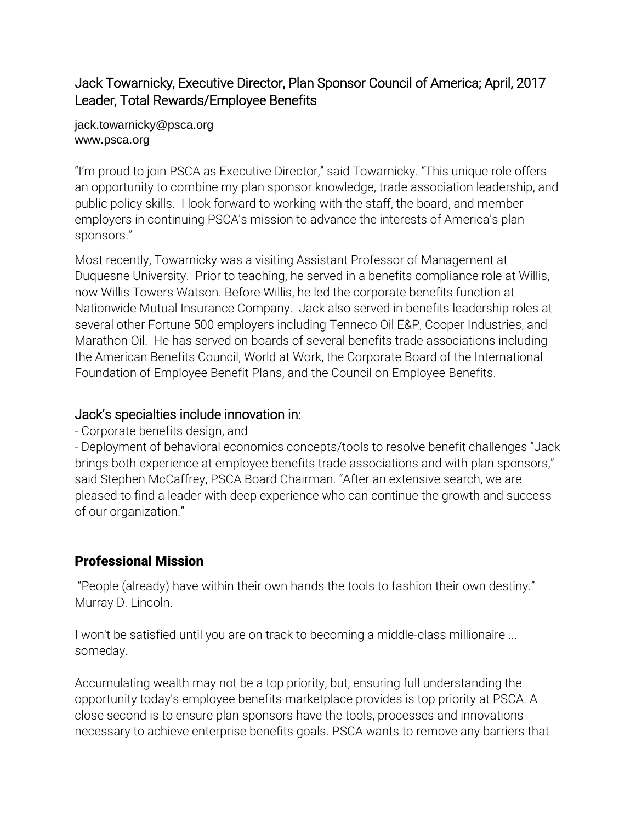## Jack Towarnicky, Executive Director, Plan Sponsor Council of America; April, 2017 Leader, Total Rewards/Employee Benefits

#### jack.towarnicky@psca.org www.psca.org

"I'm proud to join PSCA as Executive Director," said Towarnicky. "This unique role offers an opportunity to combine my plan sponsor knowledge, trade association leadership, and public policy skills. I look forward to working with the staff, the board, and member employers in continuing PSCA's mission to advance the interests of America's plan sponsors."

Most recently, Towarnicky was a visiting Assistant Professor of Management at Duquesne University. Prior to teaching, he served in a benefits compliance role at Willis, now Willis Towers Watson. Before Willis, he led the corporate benefits function at Nationwide Mutual Insurance Company. Jack also served in benefits leadership roles at several other Fortune 500 employers including Tenneco Oil E&P, Cooper Industries, and Marathon Oil. He has served on boards of several benefits trade associations including the American Benefits Council, World at Work, the Corporate Board of the International Foundation of Employee Benefit Plans, and the Council on Employee Benefits.

## Jack's specialties include innovation in:

- Corporate benefits design, and

- Deployment of behavioral economics concepts/tools to resolve benefit challenges "Jack brings both experience at employee benefits trade associations and with plan sponsors," said Stephen McCaffrey, PSCA Board Chairman. "After an extensive search, we are pleased to find a leader with deep experience who can continue the growth and success of our organization."

# Professional Mission

"People (already) have within their own hands the tools to fashion their own destiny." Murray D. Lincoln.

I won't be satisfied until you are on track to becoming a middle-class millionaire ... someday.

Accumulating wealth may not be a top priority, but, ensuring full understanding the opportunity today's employee benefits marketplace provides is top priority at PSCA. A close second is to ensure plan sponsors have the tools, processes and innovations necessary to achieve enterprise benefits goals. PSCA wants to remove any barriers that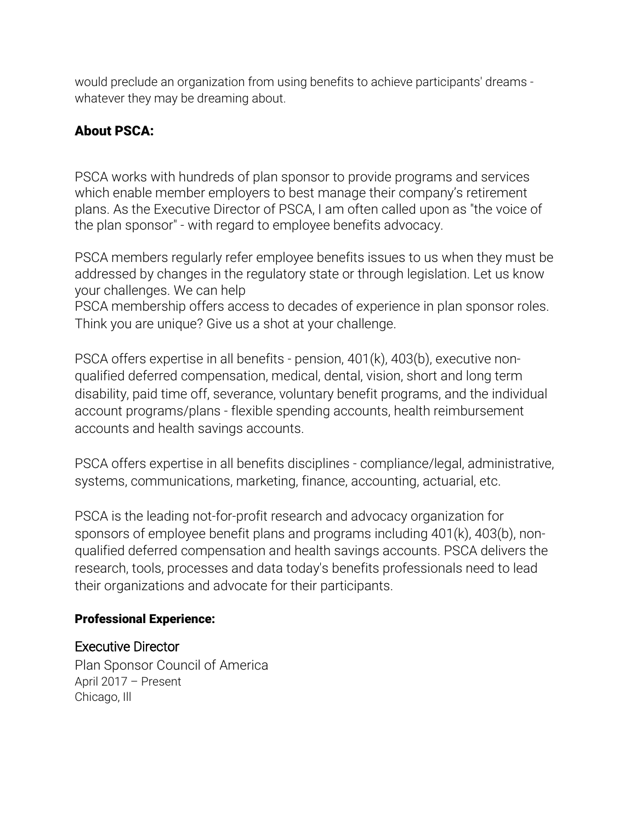would preclude an organization from using benefits to achieve participants' dreams whatever they may be dreaming about.

# About PSCA:

PSCA works with hundreds of plan sponsor to provide programs and services which enable member employers to best manage their company's retirement plans. As the Executive Director of PSCA, I am often called upon as "the voice of the plan sponsor" - with regard to employee benefits advocacy.

PSCA members regularly refer employee benefits issues to us when they must be addressed by changes in the regulatory state or through legislation. Let us know your challenges. We can help

PSCA membership offers access to decades of experience in plan sponsor roles. Think you are unique? Give us a shot at your challenge.

PSCA offers expertise in all benefits - pension, 401(k), 403(b), executive nonqualified deferred compensation, medical, dental, vision, short and long term disability, paid time off, severance, voluntary benefit programs, and the individual account programs/plans - flexible spending accounts, health reimbursement accounts and health savings accounts.

PSCA offers expertise in all benefits disciplines - compliance/legal, administrative, systems, communications, marketing, finance, accounting, actuarial, etc.

PSCA is the leading not-for-profit research and advocacy organization for sponsors of employee benefit plans and programs including 401(k), 403(b), nonqualified deferred compensation and health savings accounts. PSCA delivers the research, tools, processes and data today's benefits professionals need to lead their organizations and advocate for their participants.

#### Professional Experience:

## [Executive Director](https://www.linkedin.com/company/1040103/?lipi=urn%3Ali%3Apage%3Ad_flagship3_profile_view_base%3BAaq2PT5lSOW0cjGVQghE2w%3D%3D&licu=urn%3Ali%3Acontrol%3Ad_flagship3_profile_view_base-background_details_company)

Plan [Sponsor](https://www.linkedin.com/company/1040103/?lipi=urn%3Ali%3Apage%3Ad_flagship3_profile_view_base%3BAaq2PT5lSOW0cjGVQghE2w%3D%3D&licu=urn%3Ali%3Acontrol%3Ad_flagship3_profile_view_base-background_details_company) Council of America April 2017 – [Present](https://www.linkedin.com/company/1040103/?lipi=urn%3Ali%3Apage%3Ad_flagship3_profile_view_base%3BAaq2PT5lSOW0cjGVQghE2w%3D%3D&licu=urn%3Ali%3Acontrol%3Ad_flagship3_profile_view_base-background_details_company) [Chicago,](https://www.linkedin.com/company/1040103/?lipi=urn%3Ali%3Apage%3Ad_flagship3_profile_view_base%3BAaq2PT5lSOW0cjGVQghE2w%3D%3D&licu=urn%3Ali%3Acontrol%3Ad_flagship3_profile_view_base-background_details_company) Ill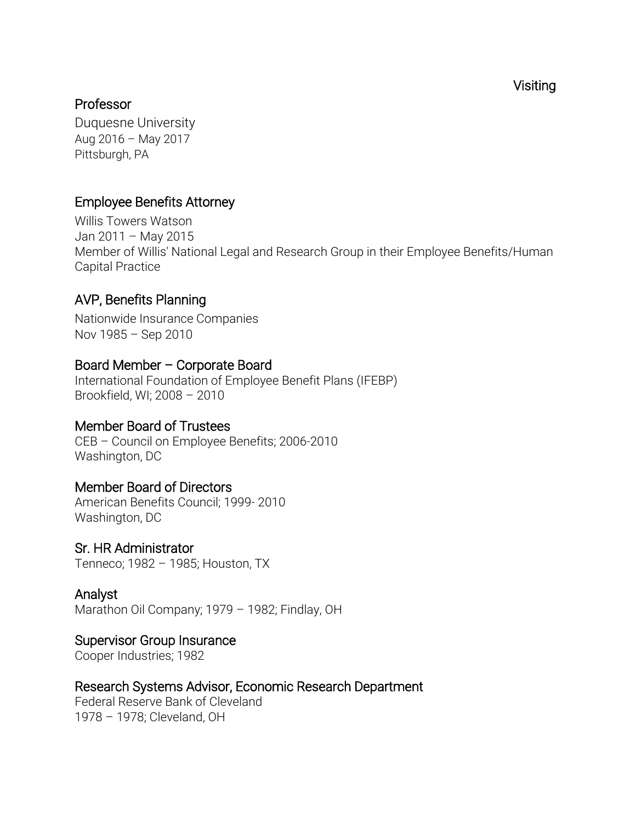[Visiting](https://www.linkedin.com/company/11412/?lipi=urn%3Ali%3Apage%3Ad_flagship3_profile_view_base%3BAaq2PT5lSOW0cjGVQghE2w%3D%3D&licu=urn%3Ali%3Acontrol%3Ad_flagship3_profile_view_base-background_details_company) 

#### [Professor](https://www.linkedin.com/company/11412/?lipi=urn%3Ali%3Apage%3Ad_flagship3_profile_view_base%3BAaq2PT5lSOW0cjGVQghE2w%3D%3D&licu=urn%3Ali%3Acontrol%3Ad_flagship3_profile_view_base-background_details_company)

[Duquesne](https://www.linkedin.com/company/11412/?lipi=urn%3Ali%3Apage%3Ad_flagship3_profile_view_base%3BAaq2PT5lSOW0cjGVQghE2w%3D%3D&licu=urn%3Ali%3Acontrol%3Ad_flagship3_profile_view_base-background_details_company) University Aug 2016 – May [2017](https://www.linkedin.com/company/11412/?lipi=urn%3Ali%3Apage%3Ad_flagship3_profile_view_base%3BAaq2PT5lSOW0cjGVQghE2w%3D%3D&licu=urn%3Ali%3Acontrol%3Ad_flagship3_profile_view_base-background_details_company)  [Pittsburgh,](https://www.linkedin.com/company/11412/?lipi=urn%3Ali%3Apage%3Ad_flagship3_profile_view_base%3BAaq2PT5lSOW0cjGVQghE2w%3D%3D&licu=urn%3Ali%3Acontrol%3Ad_flagship3_profile_view_base-background_details_company) PA

## [Employee Benefits Attorney](https://www.linkedin.com/company/3994/?lipi=urn%3Ali%3Apage%3Ad_flagship3_profile_view_base%3BAaq2PT5lSOW0cjGVQghE2w%3D%3D&licu=urn%3Ali%3Acontrol%3Ad_flagship3_profile_view_base-background_details_company)

Willis Towers [Watson](https://www.linkedin.com/company/3994/?lipi=urn%3Ali%3Apage%3Ad_flagship3_profile_view_base%3BAaq2PT5lSOW0cjGVQghE2w%3D%3D&licu=urn%3Ali%3Acontrol%3Ad_flagship3_profile_view_base-background_details_company) Jan [2011](https://www.linkedin.com/company/3994/?lipi=urn%3Ali%3Apage%3Ad_flagship3_profile_view_base%3BAaq2PT5lSOW0cjGVQghE2w%3D%3D&licu=urn%3Ali%3Acontrol%3Ad_flagship3_profile_view_base-background_details_company) – May 2015 Member of Willis' National Legal and Research Group in their Employee Benefits/Human Capital Practice

## [AVP, Benefits Planning](https://www.linkedin.com/company/2338/?lipi=urn%3Ali%3Apage%3Ad_flagship3_profile_view_base%3BXptX7uU3SWWIvO6FBoftWQ%3D%3D&licu=urn%3Ali%3Acontrol%3Ad_flagship3_profile_view_base-background_details_company)

Nationwide Insurance [Companies](https://www.linkedin.com/company/2338/?lipi=urn%3Ali%3Apage%3Ad_flagship3_profile_view_base%3BXptX7uU3SWWIvO6FBoftWQ%3D%3D&licu=urn%3Ali%3Acontrol%3Ad_flagship3_profile_view_base-background_details_company) Nov [1985](https://www.linkedin.com/company/2338/?lipi=urn%3Ali%3Apage%3Ad_flagship3_profile_view_base%3BXptX7uU3SWWIvO6FBoftWQ%3D%3D&licu=urn%3Ali%3Acontrol%3Ad_flagship3_profile_view_base-background_details_company) – Sep 2010

### Board Member – Corporate Board

International Foundation of Employee Benefit Plans (IFEBP) Brookfield, WI; 2008 – 2010

#### Member Board of Trustees

CEB – Council on Employee Benefits; 2006-2010 Washington, DC

#### Member Board of Directors

American Benefits Council; 1999- 2010 Washington, DC

#### Sr. HR Administrator

Tenneco; 1982 – 1985; Houston, TX

# Analyst

Marathon Oil Company; 1979 – 1982; Findlay, OH

#### Supervisor Group Insurance

Cooper Industries; 1982

## Research Systems Advisor, Economic Research Department

Federal Reserve Bank of Cleveland 1978 – 1978; Cleveland, OH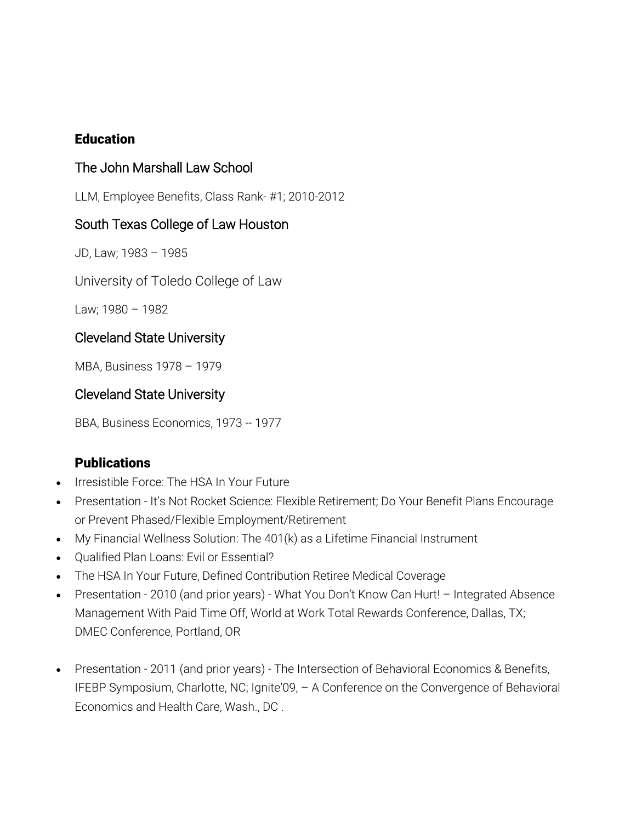#### **Education**

## The John Marshall Law School

LLM, Employee Benefits, Class Rank- #1; 2010-2012

#### South Texas College of Law Houston

JD, Law; 1983 – 1985

University of Toledo College of Law

Law; 1980 – 1982

#### Cleveland State University

MBA, Business 1978 – 1979

#### Cleveland State University

BBA, Business Economics, 1973 -- 1977

#### **Publications**

- Irresistible Force: The HSA In Your Future
- Presentation It's Not Rocket Science: Flexible Retirement; Do Your Benefit Plans Encourage or Prevent Phased/Flexible Employment/Retirement
- My Financial Wellness Solution: The 401(k) as a Lifetime Financial Instrument
- Qualified Plan Loans: Evil or Essential?
- The HSA In Your Future, Defined Contribution Retiree Medical Coverage
- Presentation 2010 (and prior years) What You Don't Know Can Hurt! Integrated Absence Management With Paid Time Off, World at Work Total Rewards Conference, Dallas, TX; DMEC Conference, Portland, OR
- Presentation 2011 (and prior years) The Intersection of Behavioral Economics & Benefits, IFEBP Symposium, Charlotte, NC; Ignite'09, – A Conference on the Convergence of Behavioral Economics and Health Care, Wash., DC .